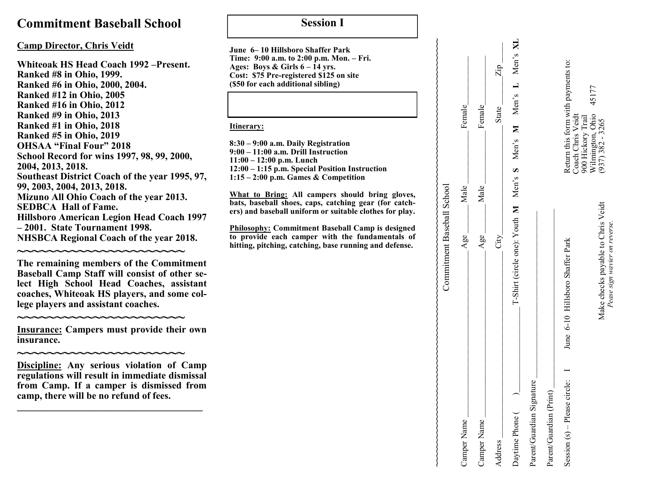## **Commitment Baseball School**

### **Camp Director, Chris Veidt**

**Whiteoak HS Head Coach 1992 –Present. Ranked #8 in Ohio, 1999. Ranked #6 in Ohio, 2000, 2004. Ranked #12 in Ohio, 2005 Ranked #16 in Ohio, 2012 Ranked #9 in Ohio, 2013 Ranked #1 in Ohio, 2018 Ranked #5 in Ohio, 2019 OHSAA "Final Four" 2018 School Record for wins 1997, 98, 99, 2000, 2004, 2013, 2018. Southeast District Coach of the year 1995, 97, 99, 2003, 2004, 2013, 2018. Mizuno All Ohio Coach of the year 2013. SEDBCA Hall of Fame. Hillsboro American Legion Head Coach 1997 – 2001. State Tournament 1998. NHSBCA Regional Coach of the year 2018.**

**~~~~~~~~~~~~~~~~~~~~~~ The remaining members of the Commitment Baseball Camp Staff will consist of other select High School Head Coaches, assistant coaches, Whiteoak HS players, and some college players and assistant coaches.**

**~~~~~~~~~~~~~~~~~~~~~~ Insurance: Campers must provide their own insurance.** 

**~~~~~~~~~~~~~~~~~~~~~~ Discipline: Any serious violation of Camp regulations will result in immediate dismissal from Camp. If a camper is dismissed from camp, there will be no refund of fees. \_\_\_\_\_\_\_\_\_\_\_\_\_\_\_\_\_\_\_\_\_\_\_\_\_\_\_\_\_\_\_\_\_\_\_\_\_\_**

## **Session I**

**June 6– 10 Hillsboro Shaffer Park Time: 9:00 a.m. to 2:00 p.m. Mon. – Fri. Ages: Boys & Girls 6 – 14 yrs. Cost: \$75 Pre-registered \$125 on site (\$50 for each additional sibling)**

#### **Itinerary:**

**8:30 – 9:00 a.m. Daily Registration 9:00 – 11:00 a.m. Drill Instruction 11:00 – 12:00 p.m. Lunch 12:00 – 1:15 p.m. Special Position Instruction 1:15 – 2:00 p.m. Games & Competition**

**What to Bring: All campers should bring gloves, bats, baseball shoes, caps, catching gear (for catchers) and baseball uniform or suitable clothes for play.**

**Philosophy: Commitment Baseball Camp is designed to provide each camper with the fundamentals of hitting, pitching, catching, base running and defense.** 

|                                       | Commitment Baseball School                                          |      |                                                                    |
|---------------------------------------|---------------------------------------------------------------------|------|--------------------------------------------------------------------|
| Camper Name                           | Age                                                                 | Male | Female                                                             |
| Camper Name                           | Age                                                                 | Male | Female                                                             |
| Address                               | City                                                                |      | $\mathrm{Zip}$<br>State                                            |
| Daytime Phone (                       |                                                                     |      | T-Shirt (circle one): Youth M Men's S Men's M Men's L Men's XL     |
| Parent/Guardian Signature             |                                                                     |      |                                                                    |
| Parent/Guardian (Print)               |                                                                     |      |                                                                    |
| Session $(s)$ – Please circle: $\Box$ | June 6-10 Hillsboro Shaffer Park                                    |      | Return this form with payments to:<br>Coach Chris Veidt            |
|                                       | Make checks payable to Chris Veidt<br>Pease sign wavier on reverse. |      | 45177<br>Wilmington, Ohio<br>(937) 382 - 3265<br>900 Hickory Trail |

*Pease sign wavier on reverse.*